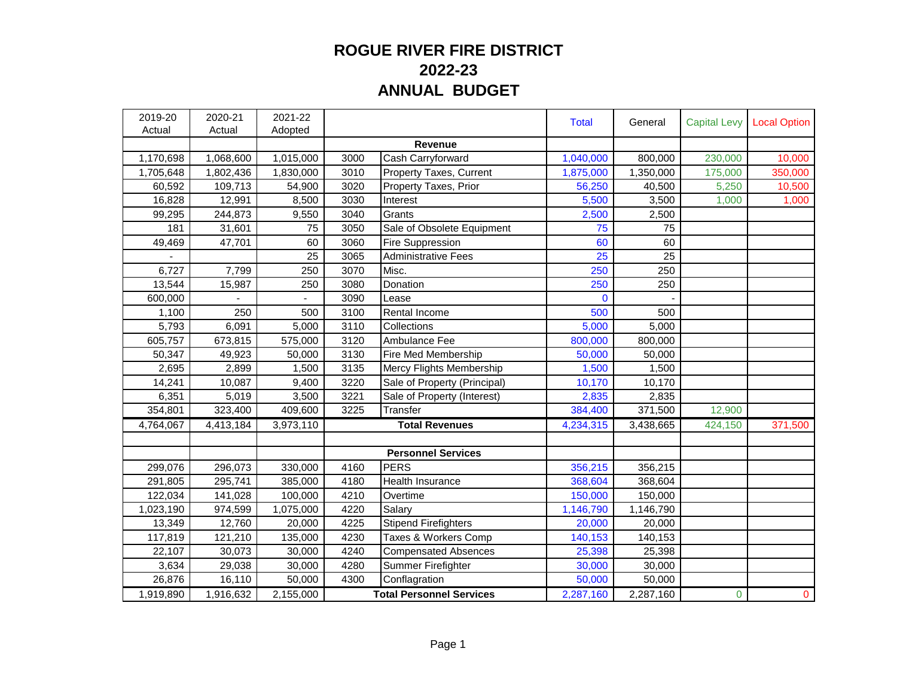## **ROGUE RIVER FIRE DISTRICT 2022-23 ANNUAL BUDGET**

| 2019-20<br>Actual | 2020-21<br>Actual | 2021-22<br>Adopted |                                 |                                 | <b>Total</b> | General   | <b>Capital Levy</b> | <b>Local Option</b> |
|-------------------|-------------------|--------------------|---------------------------------|---------------------------------|--------------|-----------|---------------------|---------------------|
|                   |                   |                    |                                 | Revenue                         |              |           |                     |                     |
| 1,170,698         | 1,068,600         | 1,015,000          | 3000                            | Cash Carryforward               | 1,040,000    | 800,000   | 230,000             | 10,000              |
| 1,705,648         | 1,802,436         | 1,830,000          | 3010                            | Property Taxes, Current         | 1,875,000    | 1,350,000 | 175,000             | 350,000             |
| 60,592            | 109,713           | 54,900             | 3020                            | Property Taxes, Prior           | 56,250       | 40,500    | 5,250               | 10,500              |
| 16,828            | 12,991            | 8,500              | 3030                            | Interest                        | 5,500        | 3,500     | 1,000               | 1,000               |
| 99,295            | 244,873           | 9,550              | 3040                            | Grants                          | 2,500        | 2,500     |                     |                     |
| 181               | 31,601            | 75                 | 3050                            | Sale of Obsolete Equipment      | 75           | 75        |                     |                     |
| 49,469            | 47,701            | 60                 | 3060                            | Fire Suppression                | 60           | 60        |                     |                     |
|                   |                   | 25                 | 3065                            | <b>Administrative Fees</b>      | 25           | 25        |                     |                     |
| 6,727             | 7,799             | 250                | 3070                            | Misc.                           | 250          | 250       |                     |                     |
| 13,544            | 15,987            | 250                | 3080                            | Donation                        | 250          | 250       |                     |                     |
| 600,000           |                   |                    | 3090                            | Lease                           | 0            |           |                     |                     |
| 1,100             | 250               | 500                | 3100                            | Rental Income                   | 500          | 500       |                     |                     |
| 5,793             | 6,091             | 5,000              | 3110                            | Collections                     | 5,000        | 5,000     |                     |                     |
| 605,757           | 673,815           | 575,000            | 3120                            | Ambulance Fee                   | 800,000      | 800,000   |                     |                     |
| 50,347            | 49,923            | 50,000             | 3130                            | Fire Med Membership             | 50,000       | 50,000    |                     |                     |
| 2,695             | 2,899             | 1,500              | 3135                            | <b>Mercy Flights Membership</b> | 1,500        | 1,500     |                     |                     |
| 14,241            | 10,087            | 9,400              | 3220                            | Sale of Property (Principal)    | 10,170       | 10,170    |                     |                     |
| 6,351             | 5,019             | 3,500              | 3221                            | Sale of Property (Interest)     | 2,835        | 2,835     |                     |                     |
| 354,801           | 323,400           | 409,600            | 3225                            | Transfer                        | 384,400      | 371,500   | 12,900              |                     |
| 4,764,067         | 4,413,184         | 3,973,110          |                                 | <b>Total Revenues</b>           | 4,234,315    | 3,438,665 | 424,150             | 371,500             |
|                   |                   |                    |                                 |                                 |              |           |                     |                     |
|                   |                   |                    |                                 | <b>Personnel Services</b>       |              |           |                     |                     |
| 299,076           | 296,073           | 330,000            | 4160                            | <b>PERS</b>                     | 356,215      | 356,215   |                     |                     |
| 291,805           | 295,741           | 385,000            | 4180                            | <b>Health Insurance</b>         | 368,604      | 368,604   |                     |                     |
| 122,034           | 141,028           | 100,000            | 4210                            | Overtime                        | 150,000      | 150,000   |                     |                     |
| 1,023,190         | 974,599           | 1,075,000          | 4220                            | Salary                          | 1,146,790    | 1,146,790 |                     |                     |
| 13,349            | 12,760            | 20,000             | 4225                            | <b>Stipend Firefighters</b>     | 20,000       | 20,000    |                     |                     |
| 117,819           | 121,210           | 135,000            | 4230                            | Taxes & Workers Comp            | 140,153      | 140,153   |                     |                     |
| 22,107            | 30,073            | 30,000             | 4240                            | <b>Compensated Absences</b>     | 25,398       | 25,398    |                     |                     |
| 3,634             | 29,038            | 30,000             | 4280                            | Summer Firefighter              | 30,000       | 30,000    |                     |                     |
| 26,876            | 16,110            | 50,000             | 4300                            | Conflagration                   | 50,000       | 50,000    |                     |                     |
| 1,919,890         | 1,916,632         | 2,155,000          | <b>Total Personnel Services</b> |                                 | 2,287,160    | 2,287,160 | $\overline{0}$      | $\mathbf{0}$        |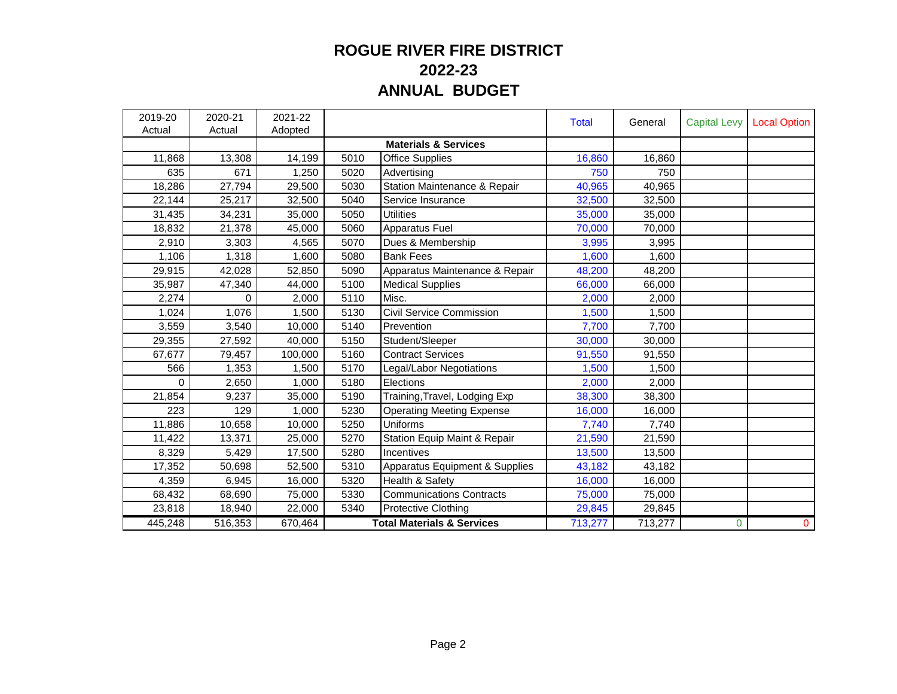## **ROGUE RIVER FIRE DISTRICT 2022-23 ANNUAL BUDGET**

| 2019-20<br>Actual | 2020-21<br>Actual | 2021-22<br>Adopted |                                       |                                  | <b>Total</b> | General | <b>Capital Levy</b> | <b>Local Option</b> |
|-------------------|-------------------|--------------------|---------------------------------------|----------------------------------|--------------|---------|---------------------|---------------------|
|                   |                   |                    |                                       | <b>Materials &amp; Services</b>  |              |         |                     |                     |
| 11,868            | 13,308            | 14,199             | 5010                                  | <b>Office Supplies</b>           | 16,860       | 16,860  |                     |                     |
| 635               | 671               | 1,250              | 5020                                  | Advertising                      | 750          | 750     |                     |                     |
| 18,286            | 27,794            | 29,500             | 5030                                  | Station Maintenance & Repair     | 40,965       | 40,965  |                     |                     |
| 22,144            | 25,217            | 32,500             | 5040                                  | Service Insurance                | 32,500       | 32,500  |                     |                     |
| 31,435            | 34,231            | 35,000             | 5050                                  | <b>Utilities</b>                 | 35,000       | 35,000  |                     |                     |
| 18,832            | 21,378            | 45,000             | 5060                                  | Apparatus Fuel                   | 70,000       | 70,000  |                     |                     |
| 2,910             | 3,303             | 4,565              | 5070                                  | Dues & Membership                | 3,995        | 3,995   |                     |                     |
| 1,106             | 1,318             | 1.600              | 5080                                  | <b>Bank Fees</b>                 | 1,600        | 1,600   |                     |                     |
| 29,915            | 42,028            | 52,850             | 5090                                  | Apparatus Maintenance & Repair   | 48,200       | 48,200  |                     |                     |
| 35,987            | 47,340            | 44,000             | 5100                                  | <b>Medical Supplies</b>          | 66,000       | 66,000  |                     |                     |
| 2,274             | 0                 | 2,000              | 5110                                  | Misc.                            | 2,000        | 2,000   |                     |                     |
| 1,024             | 1,076             | 1.500              | 5130                                  | Civil Service Commission         | 1,500        | 1,500   |                     |                     |
| 3,559             | 3,540             | 10,000             | 5140                                  | Prevention                       | 7,700        | 7,700   |                     |                     |
| 29,355            | 27,592            | 40,000             | 5150                                  | Student/Sleeper                  | 30,000       | 30,000  |                     |                     |
| 67,677            | 79,457            | 100,000            | 5160                                  | <b>Contract Services</b>         | 91,550       | 91,550  |                     |                     |
| 566               | 1,353             | 1.500              | 5170                                  | egal/Labor Negotiations          | 1,500        | 1,500   |                     |                     |
| 0                 | 2,650             | 1,000              | 5180                                  | Elections                        | 2,000        | 2,000   |                     |                     |
| 21,854            | 9,237             | 35,000             | 5190                                  | Training, Travel, Lodging Exp    | 38,300       | 38,300  |                     |                     |
| 223               | 129               | 1,000              | 5230                                  | <b>Operating Meeting Expense</b> | 16,000       | 16,000  |                     |                     |
| 11,886            | 10,658            | 10,000             | 5250                                  | Uniforms                         | 7,740        | 7,740   |                     |                     |
| 11,422            | 13,371            | 25,000             | 5270                                  | Station Equip Maint & Repair     | 21,590       | 21,590  |                     |                     |
| 8,329             | 5,429             | 17,500             | 5280                                  | Incentives                       | 13,500       | 13,500  |                     |                     |
| 17,352            | 50,698            | 52,500             | 5310                                  | Apparatus Equipment & Supplies   | 43,182       | 43,182  |                     |                     |
| 4,359             | 6,945             | 16,000             | 5320                                  | Health & Safety                  | 16,000       | 16,000  |                     |                     |
| 68,432            | 68,690            | 75,000             | 5330                                  | <b>Communications Contracts</b>  | 75,000       | 75,000  |                     |                     |
| 23,818            | 18,940            | 22,000             | 5340                                  | <b>Protective Clothing</b>       | 29,845       | 29,845  |                     |                     |
| 445,248           | 516,353           | 670,464            | <b>Total Materials &amp; Services</b> |                                  | 713,277      | 713,277 | 0                   | $\mathbf 0$         |